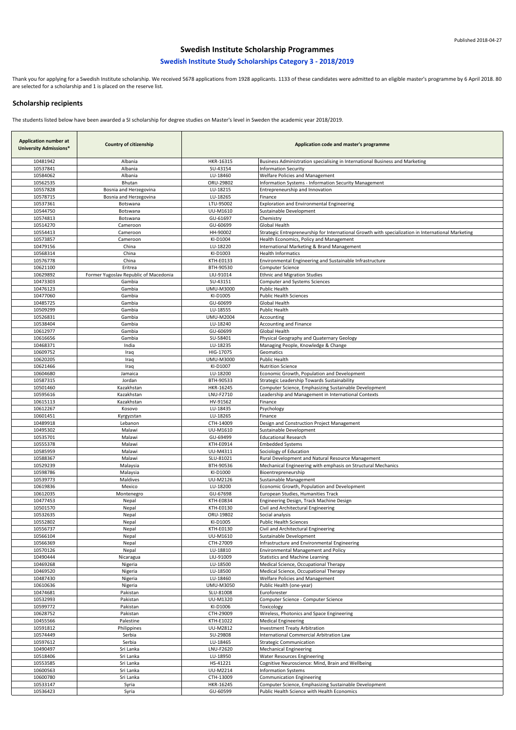| <b>Application number at</b><br><b>University Admissions*</b> | <b>Country of citizenship</b>         | Application code and master's programme |                                                                                                    |
|---------------------------------------------------------------|---------------------------------------|-----------------------------------------|----------------------------------------------------------------------------------------------------|
| 10481942                                                      | Albania                               | HKR-16315                               | Business Administration specialising in International Business and Marketing                       |
| 10537841                                                      | Albania                               | SU-43154                                | <b>Information Security</b>                                                                        |
| 10584062                                                      | Albania                               | LU-18460                                | <b>Welfare Policies and Management</b>                                                             |
| 10562535                                                      | <b>Bhutan</b>                         | ORU-29802                               | Information Systems - Information Security Management                                              |
| 10557828                                                      | Bosnia and Herzegovina                | LU-18215                                | Entrepreneurship and Innovation                                                                    |
| 10578715                                                      | Bosnia and Herzegovina                | LU-18265                                | Finance                                                                                            |
| 10537361                                                      | Botswana                              | LTU-95002                               | <b>Exploration and Environmental Engineering</b>                                                   |
| 10544750                                                      | Botswana                              | UU-M1610                                | Sustainable Development                                                                            |
| 10574813                                                      | Botswana                              | GU-61697                                | Chemistry                                                                                          |
| 10514270                                                      | Cameroon                              | GU-60699                                | <b>Global Health</b>                                                                               |
| 10554413                                                      | Cameroon                              | HH-90002                                | Strategic Entrepreneurship for International Growth with specialization in International Marketing |
| 10573857                                                      | Cameroon                              | KI-D1004                                | Health Economics, Policy and Management                                                            |
| 10479156                                                      | China                                 | LU-18220                                | International Marketing & Brand Management                                                         |
| 10568314                                                      | China                                 | KI-D1003                                | <b>Health Informatics</b>                                                                          |
| 10576778                                                      | China                                 | KTH-E0133                               | Environmental Engineering and Sustainable Infrastructure                                           |
| 10621100                                                      | Eritrea                               | BTH-90530                               | <b>Computer Science</b>                                                                            |
| 10629892                                                      | Former Yugoslav Republic of Macedonia | LIU-91014                               | <b>Ethnic and Migration Studies</b>                                                                |
| 10473303                                                      | Gambia                                | SU-43151                                | <b>Computer and Systems Sciences</b>                                                               |
| 10476123                                                      | Gambia                                | <b>UMU-M3000</b>                        | <b>Public Health</b>                                                                               |
| 10477060                                                      | Gambia                                | KI-D1005                                | <b>Public Health Sciences</b>                                                                      |
| 10485725                                                      | Gambia                                | GU-60699                                | <b>Global Health</b>                                                                               |
| 10509299                                                      | Gambia                                | LU-18555                                | Public Health                                                                                      |
| 10526831                                                      | Gambia                                | <b>UMU-M2004</b>                        |                                                                                                    |
| 10538404                                                      | Gambia                                | LU-18240                                | Accounting<br><b>Accounting and Finance</b>                                                        |
| 10612977                                                      | Gambia                                | GU-60699                                | <b>Global Health</b>                                                                               |
|                                                               |                                       |                                         |                                                                                                    |
| 10616656<br>10468371                                          | Gambia<br>India                       | SU-58401<br>LU-18235                    | Physical Geography and Quaternary Geology<br>Managing People, Knowledge & Change                   |
| 10609752                                                      |                                       | HIG-17075                               | Geomatics                                                                                          |
| 10620205                                                      | Iraq                                  | UMU-M3000                               | Public Health                                                                                      |
| 10621466                                                      | Iraq                                  | KI-D1007                                | <b>Nutrition Science</b>                                                                           |
| 10604680                                                      | Iraq<br>Jamaica                       | LU-18200                                | Economic Growth, Population and Development                                                        |
| 10587315                                                      | Jordan                                | BTH-90533                               | Strategic Leadership Towards Sustainability                                                        |
| 10501460                                                      | Kazakhstan                            | HKR-16245                               | Computer Science, Emphasizing Sustainable Development                                              |
| 10595616                                                      | Kazakhstan                            | LNU-F2710                               | Leadership and Management in International Contexts                                                |
| 10615113                                                      | Kazakhstan                            | HV-91562                                | Finance                                                                                            |
| 10612267                                                      | Kosovo                                | LU-18435                                | Psychology                                                                                         |
| 10601451                                                      | Kyrgyzstan                            | LU-18265                                | Finance                                                                                            |
| 10489918                                                      | Lebanon                               | CTH-14009                               | Design and Construction Project Management                                                         |
| 10495302                                                      | Malawi                                | UU-M1610                                | Sustainable Development                                                                            |
| 10535701                                                      | Malawi                                | GU-69499                                | <b>Educational Research</b>                                                                        |
| 10555378                                                      | Malawi                                | KTH-E0914                               | <b>Embedded Systems</b>                                                                            |
| 10585959                                                      | Malawi                                | UU-M4311                                | Sociology of Education                                                                             |
| 10588367                                                      | Malawi                                | SLU-81021                               | Rural Development and Natural Resource Management                                                  |
| 10529239                                                      | Malaysia                              | BTH-90536                               | Mechanical Engineering with emphasis on Structural Mechanics                                       |
| 10598786                                                      | Malaysia                              | KI-D1000                                | Bioentrepreneurship                                                                                |
| 10539773                                                      | Maldives                              | <b>UU-M2126</b>                         | Sustainable Management                                                                             |
| 10619836                                                      | Mexico                                | LU-18200                                | Economic Growth, Population and Development                                                        |
| 10612035                                                      | Montenegro                            | GU-67698                                | European Studies, Humanities Track                                                                 |
| 10477453                                                      | Nepal                                 | <b>KTH-E0834</b>                        | Engineering Design, Track Machine Design                                                           |
| 10501570                                                      | Nepal                                 | KTH-E0130                               | Civil and Architectural Engineering                                                                |
| 10532635                                                      | Nepal                                 | ORU-19802                               | Social analysis                                                                                    |
| 10552802                                                      | Nepal                                 | KI-D1005                                | <b>Public Health Sciences</b>                                                                      |
| 10556737                                                      | Nepal                                 | KTH-E0130                               | Civil and Architectural Engineering                                                                |
| 10566104                                                      | Nepal                                 | UU-M1610                                | Sustainable Development                                                                            |
| 10566369                                                      | Nepal                                 | CTH-27009                               | Infrastructure and Environmental Engineering                                                       |
| 10570126                                                      | Nepal                                 | LU-18810                                | <b>Environmental Management and Policy</b>                                                         |
| 10490444                                                      | Nicaragua                             | LIU-91009                               | <b>Statistics and Machine Learning</b>                                                             |
| 10469268                                                      | Nigeria                               | LU-18500                                | Medical Science, Occupational Therapy                                                              |
| 10469520                                                      | Nigeria                               | LU-18500                                | Medical Science, Occupational Therapy                                                              |
| 10487430                                                      | Nigeria                               | LU-18460                                | <b>Welfare Policies and Management</b>                                                             |
| 10610636                                                      | Nigeria                               | <b>UMU-M3050</b>                        | Public Health (one-year)                                                                           |
| 10474681                                                      | Pakistan                              | SLU-81008                               | Euroforester                                                                                       |
| 10532993                                                      | Pakistan                              | UU-M1320                                | Computer Science - Computer Science                                                                |
| 10599772                                                      | Pakistan                              | KI-D1006                                | Toxicology                                                                                         |
| 10628752                                                      | Pakistan                              | CTH-29009                               | Wireless, Photonics and Space Engineering                                                          |
| 10455566                                                      | Palestine                             | KTH-E1022                               | <b>Medical Engineering</b>                                                                         |
| 10591812                                                      | Philippines                           | UU-M2812                                | <b>Investment Treaty Arbitration</b>                                                               |
| 10574449                                                      | Serbia                                | SU-29808                                | International Commercial Arbitration Law                                                           |
| 10597612                                                      | Serbia                                | LU-18465                                | <b>Strategic Communication</b>                                                                     |
| 10490497                                                      | Sri Lanka                             | LNU-F2620                               | <b>Mechanical Engineering</b>                                                                      |
| 10518406                                                      | Sri Lanka                             | LU-18950                                | <b>Water Resources Engineering</b>                                                                 |
| 10553585                                                      | Sri Lanka                             | HS-41221                                | Cognitive Neuroscience: Mind, Brain and Wellbeing                                                  |
| 10600563                                                      | Sri Lanka                             | <b>UU-M2214</b>                         | <b>Information Systems</b>                                                                         |
| 10600780                                                      | Sri Lanka                             | CTH-13009                               | <b>Communication Engineering</b>                                                                   |
| 10533147                                                      | Syria                                 | HKR-16245                               | Computer Science, Emphasizing Sustainable Development                                              |
| 10536423                                                      | Syria                                 | GU-60599                                | Public Health Science with Health Economics                                                        |

# **Swedish Institute Scholarship Programmes**

## **Swedish Institute Study Scholarships Category 3 - 2018/2019**

Thank you for applying for a Swedish Institute scholarship. We received 5678 applications from 1928 applicants. 1133 of these candidates were admitted to an eligible master's programme by 6 April 2018. 80 are selected for a scholarship and 1 is placed on the reserve list.

## **Scholarship recipients**

The students listed below have been awarded a SI scholarship for degree studies on Master's level in Sweden the academic year 2018/2019.